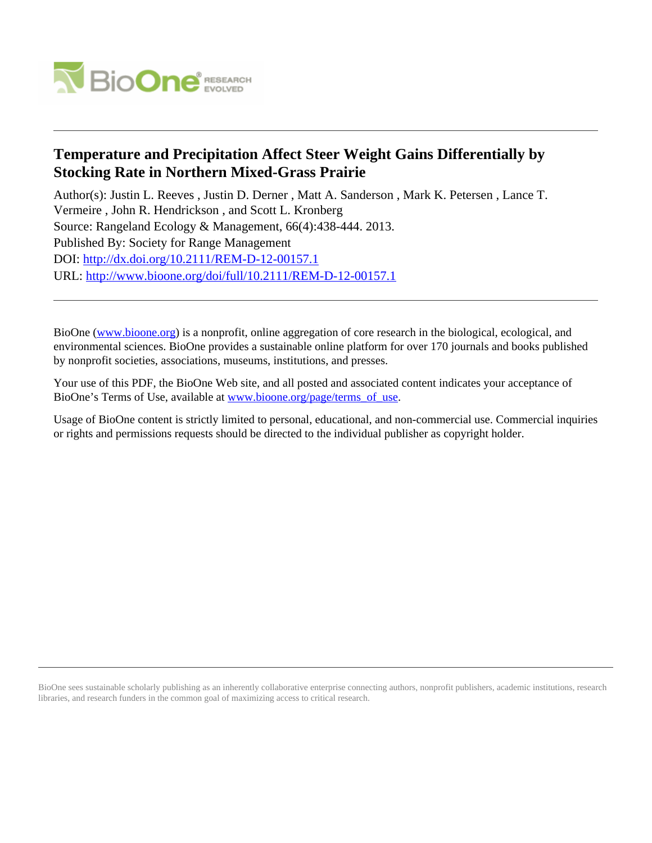

# **Temperature and Precipitation Affect Steer Weight Gains Differentially by Stocking Rate in Northern Mixed-Grass Prairie**

Author(s): Justin L. Reeves , Justin D. Derner , Matt A. Sanderson , Mark K. Petersen , Lance T. Vermeire , John R. Hendrickson , and Scott L. Kronberg Source: Rangeland Ecology & Management, 66(4):438-444. 2013. Published By: Society for Range Management DOI:<http://dx.doi.org/10.2111/REM-D-12-00157.1> URL: <http://www.bioone.org/doi/full/10.2111/REM-D-12-00157.1>

BioOne [\(www.bioone.org\)](http://www.bioone.org) is a nonprofit, online aggregation of core research in the biological, ecological, and environmental sciences. BioOne provides a sustainable online platform for over 170 journals and books published by nonprofit societies, associations, museums, institutions, and presses.

Your use of this PDF, the BioOne Web site, and all posted and associated content indicates your acceptance of BioOne's Terms of Use, available at [www.bioone.org/page/terms\\_of\\_use.](http://www.bioone.org/page/terms_of_use)

Usage of BioOne content is strictly limited to personal, educational, and non-commercial use. Commercial inquiries or rights and permissions requests should be directed to the individual publisher as copyright holder.

BioOne sees sustainable scholarly publishing as an inherently collaborative enterprise connecting authors, nonprofit publishers, academic institutions, research libraries, and research funders in the common goal of maximizing access to critical research.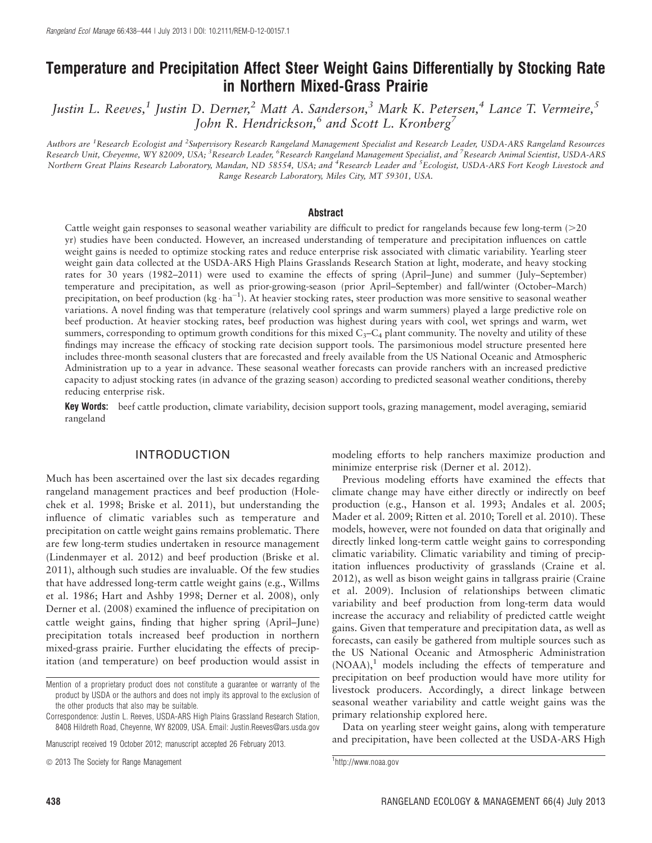## Temperature and Precipitation Affect Steer Weight Gains Differentially by Stocking Rate in Northern Mixed-Grass Prairie

Justin L. Reeves,<sup>1</sup> Justin D. Derner,<sup>2</sup> Matt A. Sanderson,<sup>3</sup> Mark K. Petersen,<sup>4</sup> Lance T. Vermeire,<sup>5</sup> John R. Hendrickson,  $6$  and Scott L. Kronberg<sup>7</sup>

Authors are <sup>1</sup>Research Ecologist and <sup>2</sup>Supervisory Research Rangeland Management Specialist and Research Leader, USDA-ARS Rangeland Resources Research Unit, Cheyenne, WY 82009, USA; <sup>3</sup>Research Leader, <sup>6</sup>Research Rangeland Management Specialist, and <sup>7</sup>Research Animal Scientist, USDA-ARS Northern Great Plains Research Laboratory, Mandan, ND 58554, USA; and <sup>4</sup>Research Leader and <sup>5</sup>Ecologist, USDA-ARS Fort Keogh Livestock and Range Research Laboratory, Miles City, MT 59301, USA.

#### **Abstract**

Cattle weight gain responses to seasonal weather variability are difficult to predict for rangelands because few long-term  $(>20$ yr) studies have been conducted. However, an increased understanding of temperature and precipitation influences on cattle weight gains is needed to optimize stocking rates and reduce enterprise risk associated with climatic variability. Yearling steer weight gain data collected at the USDA-ARS High Plains Grasslands Research Station at light, moderate, and heavy stocking rates for 30 years (1982–2011) were used to examine the effects of spring (April–June) and summer (July–September) temperature and precipitation, as well as prior-growing-season (prior April–September) and fall/winter (October–March) precipitation, on beef production (kg·ha<sup>-1</sup>). At heavier stocking rates, steer production was more sensitive to seasonal weather variations. A novel finding was that temperature (relatively cool springs and warm summers) played a large predictive role on beef production. At heavier stocking rates, beef production was highest during years with cool, wet springs and warm, wet summers, corresponding to optimum growth conditions for this mixed  $C_3 - C_4$  plant community. The novelty and utility of these findings may increase the efficacy of stocking rate decision support tools. The parsimonious model structure presented here includes three-month seasonal clusters that are forecasted and freely available from the US National Oceanic and Atmospheric Administration up to a year in advance. These seasonal weather forecasts can provide ranchers with an increased predictive capacity to adjust stocking rates (in advance of the grazing season) according to predicted seasonal weather conditions, thereby reducing enterprise risk.

Key Words: beef cattle production, climate variability, decision support tools, grazing management, model averaging, semiarid rangeland

### INTRODUCTION

Much has been ascertained over the last six decades regarding rangeland management practices and beef production (Holechek et al. 1998; Briske et al. 2011), but understanding the influence of climatic variables such as temperature and precipitation on cattle weight gains remains problematic. There are few long-term studies undertaken in resource management (Lindenmayer et al. 2012) and beef production (Briske et al. 2011), although such studies are invaluable. Of the few studies that have addressed long-term cattle weight gains (e.g., Willms et al. 1986; Hart and Ashby 1998; Derner et al. 2008), only Derner et al. (2008) examined the influence of precipitation on cattle weight gains, finding that higher spring (April–June) precipitation totals increased beef production in northern mixed-grass prairie. Further elucidating the effects of precipitation (and temperature) on beef production would assist in

Manuscript received 19 October 2012; manuscript accepted 26 February 2013.

modeling efforts to help ranchers maximize production and minimize enterprise risk (Derner et al. 2012).

Previous modeling efforts have examined the effects that climate change may have either directly or indirectly on beef production (e.g., Hanson et al. 1993; Andales et al. 2005; Mader et al. 2009; Ritten et al. 2010; Torell et al. 2010). These models, however, were not founded on data that originally and directly linked long-term cattle weight gains to corresponding climatic variability. Climatic variability and timing of precipitation influences productivity of grasslands (Craine et al. 2012), as well as bison weight gains in tallgrass prairie (Craine et al. 2009). Inclusion of relationships between climatic variability and beef production from long-term data would increase the accuracy and reliability of predicted cattle weight gains. Given that temperature and precipitation data, as well as forecasts, can easily be gathered from multiple sources such as the US National Oceanic and Atmospheric Administration  $(NOAA)$ ,<sup>1</sup> models including the effects of temperature and precipitation on beef production would have more utility for livestock producers. Accordingly, a direct linkage between seasonal weather variability and cattle weight gains was the primary relationship explored here.

Data on yearling steer weight gains, along with temperature and precipitation, have been collected at the USDA-ARS High

Mention of a proprietary product does not constitute a guarantee or warranty of the product by USDA or the authors and does not imply its approval to the exclusion of the other products that also may be suitable.

Correspondence: Justin L. Reeves, USDA-ARS High Plains Grassland Research Station, 8408 Hildreth Road, Cheyenne, WY 82009, USA. Email: Justin.Reeves@ars.usda.gov

 $\odot$  2013 The Society for Range Management

http://www.noaa.gov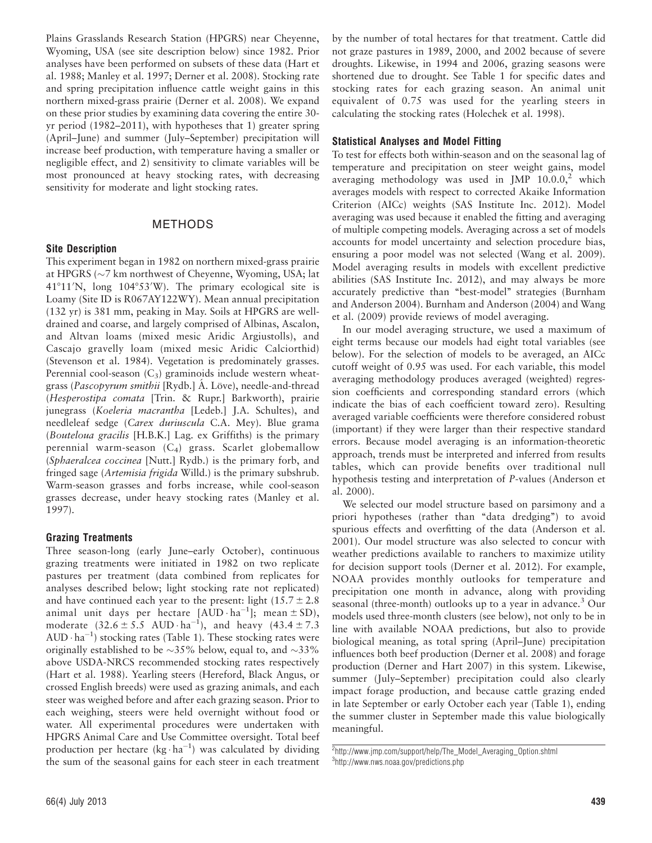Plains Grasslands Research Station (HPGRS) near Cheyenne, Wyoming, USA (see site description below) since 1982. Prior analyses have been performed on subsets of these data (Hart et al. 1988; Manley et al. 1997; Derner et al. 2008). Stocking rate and spring precipitation influence cattle weight gains in this northern mixed-grass prairie (Derner et al. 2008). We expand on these prior studies by examining data covering the entire 30 yr period (1982–2011), with hypotheses that 1) greater spring (April–June) and summer (July–September) precipitation will increase beef production, with temperature having a smaller or negligible effect, and 2) sensitivity to climate variables will be most pronounced at heavy stocking rates, with decreasing sensitivity for moderate and light stocking rates.

### METHODS

#### Site Description

This experiment began in 1982 on northern mixed-grass prairie at HPGRS ( $\sim$ 7 km northwest of Cheyenne, Wyoming, USA; lat 41°11'N, long 104°53'W). The primary ecological site is Loamy (Site ID is R067AY122WY). Mean annual precipitation (132 yr) is 381 mm, peaking in May. Soils at HPGRS are welldrained and coarse, and largely comprised of Albinas, Ascalon, and Altvan loams (mixed mesic Aridic Argiustolls), and Cascajo gravelly loam (mixed mesic Aridic Calciorthid) (Stevenson et al. 1984). Vegetation is predominately grasses. Perennial cool-season  $(C_3)$  graminoids include western wheatgrass (Pascopyrum smithii [Rydb.] Á. Löve), needle-and-thread (Hesperostipa comata [Trin. & Rupr.] Barkworth), prairie junegrass (Koeleria macrantha [Ledeb.] J.A. Schultes), and needleleaf sedge (Carex duriuscula C.A. Mey). Blue grama (Bouteloua gracilis [H.B.K.] Lag. ex Griffiths) is the primary perennial warm-season  $(C_4)$  grass. Scarlet globemallow (Sphaeralcea coccinea [Nutt.] Rydb.) is the primary forb, and fringed sage (Artemisia frigida Willd.) is the primary subshrub. Warm-season grasses and forbs increase, while cool-season grasses decrease, under heavy stocking rates (Manley et al. 1997).

### Grazing Treatments

Three season-long (early June–early October), continuous grazing treatments were initiated in 1982 on two replicate pastures per treatment (data combined from replicates for analyses described below; light stocking rate not replicated) and have continued each year to the present: light  $(15.7 \pm 2.8)$ animal unit days per hectare  $[{\rm AUD} \cdot {\rm ha}^{-1}]$ ; mean  $\pm$  SD), moderate  $(32.6 \pm 5.5 \text{ AUD} \cdot \text{ha}^{-1})$ , and heavy  $(43.4 \pm 7.3)$  $\text{AUD} \cdot \text{ha}^{-1}$ ) stocking rates (Table 1). These stocking rates were originally established to be  $\sim$ 35% below, equal to, and  $\sim$ 33% above USDA-NRCS recommended stocking rates respectively (Hart et al. 1988). Yearling steers (Hereford, Black Angus, or crossed English breeds) were used as grazing animals, and each steer was weighed before and after each grazing season. Prior to each weighing, steers were held overnight without food or water. All experimental procedures were undertaken with HPGRS Animal Care and Use Committee oversight. Total beef production per hectare (kg·ha<sup>-1</sup>) was calculated by dividing the sum of the seasonal gains for each steer in each treatment

by the number of total hectares for that treatment. Cattle did not graze pastures in 1989, 2000, and 2002 because of severe droughts. Likewise, in 1994 and 2006, grazing seasons were shortened due to drought. See Table 1 for specific dates and stocking rates for each grazing season. An animal unit equivalent of 0.75 was used for the yearling steers in calculating the stocking rates (Holechek et al. 1998).

#### Statistical Analyses and Model Fitting

To test for effects both within-season and on the seasonal lag of temperature and precipitation on steer weight gains, model averaging methodology was used in JMP  $10.0.0$ ,<sup>2</sup> which averages models with respect to corrected Akaike Information Criterion (AICc) weights (SAS Institute Inc. 2012). Model averaging was used because it enabled the fitting and averaging of multiple competing models. Averaging across a set of models accounts for model uncertainty and selection procedure bias, ensuring a poor model was not selected (Wang et al. 2009). Model averaging results in models with excellent predictive abilities (SAS Institute Inc. 2012), and may always be more accurately predictive than ''best-model'' strategies (Burnham and Anderson 2004). Burnham and Anderson (2004) and Wang et al. (2009) provide reviews of model averaging.

In our model averaging structure, we used a maximum of eight terms because our models had eight total variables (see below). For the selection of models to be averaged, an AICc cutoff weight of 0.95 was used. For each variable, this model averaging methodology produces averaged (weighted) regression coefficients and corresponding standard errors (which indicate the bias of each coefficient toward zero). Resulting averaged variable coefficients were therefore considered robust (important) if they were larger than their respective standard errors. Because model averaging is an information-theoretic approach, trends must be interpreted and inferred from results tables, which can provide benefits over traditional null hypothesis testing and interpretation of P-values (Anderson et al. 2000).

We selected our model structure based on parsimony and a priori hypotheses (rather than "data dredging") to avoid spurious effects and overfitting of the data (Anderson et al. 2001). Our model structure was also selected to concur with weather predictions available to ranchers to maximize utility for decision support tools (Derner et al. 2012). For example, NOAA provides monthly outlooks for temperature and precipitation one month in advance, along with providing seasonal (three-month) outlooks up to a year in advance.<sup>3</sup> Our models used three-month clusters (see below), not only to be in line with available NOAA predictions, but also to provide biological meaning, as total spring (April–June) precipitation influences both beef production (Derner et al. 2008) and forage production (Derner and Hart 2007) in this system. Likewise, summer (July–September) precipitation could also clearly impact forage production, and because cattle grazing ended in late September or early October each year (Table 1), ending the summer cluster in September made this value biologically meaningful.

<sup>2</sup> http://www.jmp.com/support/help/The\_Model\_Averaging\_Option.shtml 3 http://www.nws.noaa.gov/predictions.php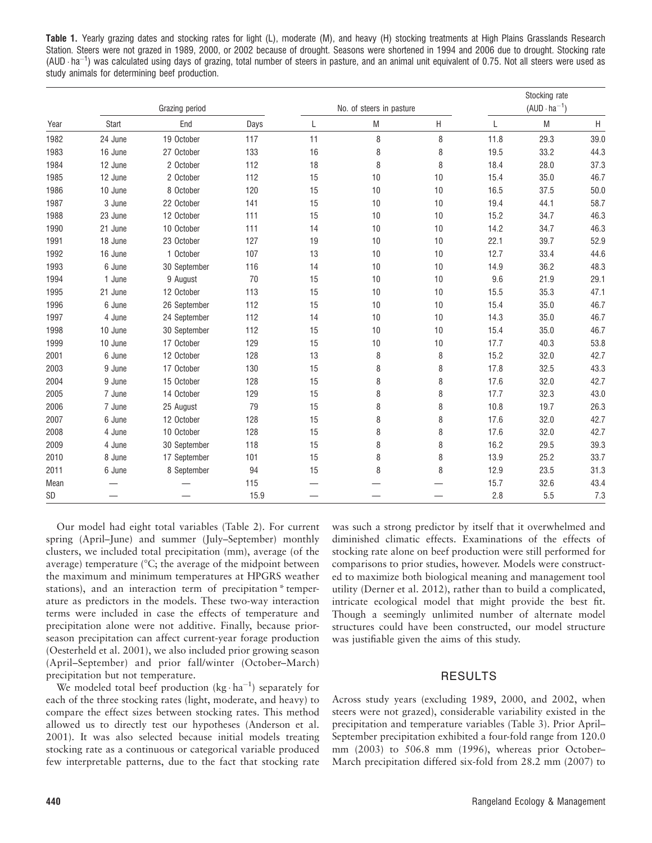Table 1. Yearly grazing dates and stocking rates for light (L), moderate (M), and heavy (H) stocking treatments at High Plains Grasslands Research Station. Steers were not grazed in 1989, 2000, or 2002 because of drought. Seasons were shortened in 1994 and 2006 due to drought. Stocking rate  $(AUD \cdot ha^{-1})$  was calculated using days of grazing, total number of steers in pasture, and an animal unit equivalent of 0.75. Not all steers were used as study animals for determining beef production.

|      | Grazing period |              |      | No. of steers in pasture |         |         | Stocking rate<br>$(AUD \cdot ha^{-1})$ |      |      |
|------|----------------|--------------|------|--------------------------|---------|---------|----------------------------------------|------|------|
| Year | Start          | End          | Days | L                        | M       | H       | $\mathsf{L}$                           | M    | H    |
| 1982 | 24 June        | 19 October   | 117  | 11                       | $\,8\,$ | $\,8\,$ | 11.8                                   | 29.3 | 39.0 |
| 1983 | 16 June        | 27 October   | 133  | 16                       | 8       | 8       | 19.5                                   | 33.2 | 44.3 |
| 1984 | 12 June        | 2 October    | 112  | 18                       | 8       | 8       | 18.4                                   | 28.0 | 37.3 |
| 1985 | 12 June        | 2 October    | 112  | 15                       | 10      | 10      | 15.4                                   | 35.0 | 46.7 |
| 1986 | 10 June        | 8 October    | 120  | 15                       | 10      | 10      | 16.5                                   | 37.5 | 50.0 |
| 1987 | 3 June         | 22 October   | 141  | 15                       | 10      | 10      | 19.4                                   | 44.1 | 58.7 |
| 1988 | 23 June        | 12 October   | 111  | 15                       | 10      | 10      | 15.2                                   | 34.7 | 46.3 |
| 1990 | 21 June        | 10 October   | 111  | 14                       | 10      | 10      | 14.2                                   | 34.7 | 46.3 |
| 1991 | 18 June        | 23 October   | 127  | 19                       | 10      | 10      | 22.1                                   | 39.7 | 52.9 |
| 1992 | 16 June        | 1 October    | 107  | 13                       | 10      | 10      | 12.7                                   | 33.4 | 44.6 |
| 1993 | 6 June         | 30 September | 116  | 14                       | 10      | 10      | 14.9                                   | 36.2 | 48.3 |
| 1994 | 1 June         | 9 August     | 70   | 15                       | 10      | 10      | 9.6                                    | 21.9 | 29.1 |
| 1995 | 21 June        | 12 October   | 113  | 15                       | 10      | 10      | 15.5                                   | 35.3 | 47.1 |
| 1996 | 6 June         | 26 September | 112  | 15                       | 10      | 10      | 15.4                                   | 35.0 | 46.7 |
| 1997 | 4 June         | 24 September | 112  | 14                       | 10      | 10      | 14.3                                   | 35.0 | 46.7 |
| 1998 | 10 June        | 30 September | 112  | 15                       | 10      | 10      | 15.4                                   | 35.0 | 46.7 |
| 1999 | 10 June        | 17 October   | 129  | 15                       | $10$    | $10$    | 17.7                                   | 40.3 | 53.8 |
| 2001 | 6 June         | 12 October   | 128  | 13                       | 8       | 8       | 15.2                                   | 32.0 | 42.7 |
| 2003 | 9 June         | 17 October   | 130  | 15                       | 8       | 8       | 17.8                                   | 32.5 | 43.3 |
| 2004 | 9 June         | 15 October   | 128  | 15                       | 8       | 8       | 17.6                                   | 32.0 | 42.7 |
| 2005 | 7 June         | 14 October   | 129  | 15                       | 8       | 8       | 17.7                                   | 32.3 | 43.0 |
| 2006 | 7 June         | 25 August    | 79   | 15                       | 8       | 8       | 10.8                                   | 19.7 | 26.3 |
| 2007 | 6 June         | 12 October   | 128  | 15                       | 8       | 8       | 17.6                                   | 32.0 | 42.7 |
| 2008 | 4 June         | 10 October   | 128  | 15                       | 8       | 8       | 17.6                                   | 32.0 | 42.7 |
| 2009 | 4 June         | 30 September | 118  | 15                       | 8       | 8       | 16.2                                   | 29.5 | 39.3 |
| 2010 | 8 June         | 17 September | 101  | 15                       | 8       | 8       | 13.9                                   | 25.2 | 33.7 |
| 2011 | 6 June         | 8 September  | 94   | 15                       | 8       | 8       | 12.9                                   | 23.5 | 31.3 |
| Mean |                |              | 115  |                          |         |         | 15.7                                   | 32.6 | 43.4 |
| SD   |                |              | 15.9 |                          |         |         | 2.8                                    | 5.5  | 7.3  |

Our model had eight total variables (Table 2). For current spring (April–June) and summer (July–September) monthly clusters, we included total precipitation (mm), average (of the average) temperature ( $\degree$ C; the average of the midpoint between the maximum and minimum temperatures at HPGRS weather stations), and an interaction term of precipitation \* temperature as predictors in the models. These two-way interaction terms were included in case the effects of temperature and precipitation alone were not additive. Finally, because priorseason precipitation can affect current-year forage production (Oesterheld et al. 2001), we also included prior growing season (April–September) and prior fall/winter (October–March) precipitation but not temperature.

We modeled total beef production (kg·ha<sup>-1</sup>) separately for each of the three stocking rates (light, moderate, and heavy) to compare the effect sizes between stocking rates. This method allowed us to directly test our hypotheses (Anderson et al. 2001). It was also selected because initial models treating stocking rate as a continuous or categorical variable produced few interpretable patterns, due to the fact that stocking rate

was such a strong predictor by itself that it overwhelmed and diminished climatic effects. Examinations of the effects of stocking rate alone on beef production were still performed for comparisons to prior studies, however. Models were constructed to maximize both biological meaning and management tool utility (Derner et al. 2012), rather than to build a complicated, intricate ecological model that might provide the best fit. Though a seemingly unlimited number of alternate model structures could have been constructed, our model structure was justifiable given the aims of this study.

## RESULTS

Across study years (excluding 1989, 2000, and 2002, when steers were not grazed), considerable variability existed in the precipitation and temperature variables (Table 3). Prior April– September precipitation exhibited a four-fold range from 120.0 mm (2003) to 506.8 mm (1996), whereas prior October– March precipitation differed six-fold from 28.2 mm (2007) to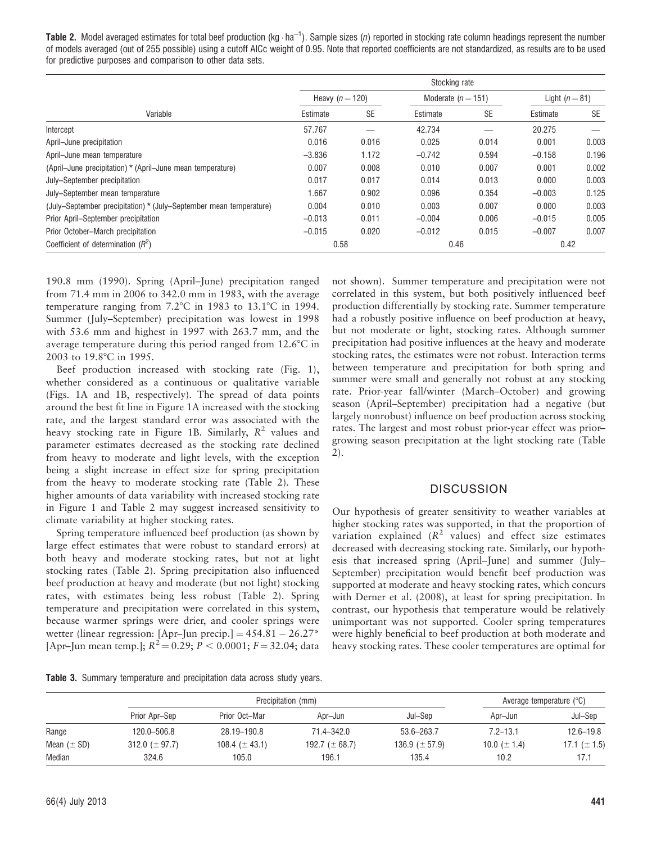Table 2. Model averaged estimates for total beef production (kg  $\cdot$  ha $^{-1}$ ). Sample sizes (n) reported in stocking rate column headings represent the number of models averaged (out of 255 possible) using a cutoff AICc weight of 0.95. Note that reported coefficients are not standardized, as results are to be used for predictive purposes and comparison to other data sets.

|                                                                    | Stocking rate   |           |                    |           |                |       |  |  |
|--------------------------------------------------------------------|-----------------|-----------|--------------------|-----------|----------------|-------|--|--|
|                                                                    | Heavy $(n=120)$ |           | Moderate $(n=151)$ |           | Light $(n=81)$ |       |  |  |
| Variable                                                           | Estimate        | <b>SE</b> | Estimate           | <b>SE</b> | Estimate       | SE.   |  |  |
| Intercept                                                          | 57.767          |           | 42.734             |           | 20.275         |       |  |  |
| April-June precipitation                                           | 0.016           | 0.016     | 0.025              | 0.014     | 0.001          | 0.003 |  |  |
| April-June mean temperature                                        | $-3.836$        | 1.172     | $-0.742$           | 0.594     | $-0.158$       | 0.196 |  |  |
| (April–June precipitation) * (April–June mean temperature)         | 0.007           | 0.008     | 0.010              | 0.007     | 0.001          | 0.002 |  |  |
| July–September precipitation                                       | 0.017           | 0.017     | 0.014              | 0.013     | 0.000          | 0.003 |  |  |
| July-September mean temperature                                    | 1.667           | 0.902     | 0.096              | 0.354     | $-0.003$       | 0.125 |  |  |
| (July–September precipitation) * (July–September mean temperature) | 0.004           | 0.010     | 0.003              | 0.007     | 0.000          | 0.003 |  |  |
| Prior April–September precipitation                                | $-0.013$        | 0.011     | $-0.004$           | 0.006     | $-0.015$       | 0.005 |  |  |
| Prior October-March precipitation                                  | $-0.015$        | 0.020     | $-0.012$           | 0.015     | $-0.007$       | 0.007 |  |  |
| Coefficient of determination $(R^2)$                               | 0.58            |           | 0.46               |           | 0.42           |       |  |  |

190.8 mm (1990). Spring (April–June) precipitation ranged from 71.4 mm in 2006 to 342.0 mm in 1983, with the average temperature ranging from  $7.2^{\circ}$ C in 1983 to 13.1°C in 1994. Summer (July–September) precipitation was lowest in 1998 with 53.6 mm and highest in 1997 with 263.7 mm, and the average temperature during this period ranged from 12.6°C in 2003 to 19.8°C in 1995.

Beef production increased with stocking rate (Fig. 1), whether considered as a continuous or qualitative variable (Figs. 1A and 1B, respectively). The spread of data points around the best fit line in Figure 1A increased with the stocking rate, and the largest standard error was associated with the heavy stocking rate in Figure 1B. Similarly,  $R^2$  values and parameter estimates decreased as the stocking rate declined from heavy to moderate and light levels, with the exception being a slight increase in effect size for spring precipitation from the heavy to moderate stocking rate (Table 2). These higher amounts of data variability with increased stocking rate in Figure 1 and Table 2 may suggest increased sensitivity to climate variability at higher stocking rates.

Spring temperature influenced beef production (as shown by large effect estimates that were robust to standard errors) at both heavy and moderate stocking rates, but not at light stocking rates (Table 2). Spring precipitation also influenced beef production at heavy and moderate (but not light) stocking rates, with estimates being less robust (Table 2). Spring temperature and precipitation were correlated in this system, because warmer springs were drier, and cooler springs were wetter (linear regression: [Apr-Jun precip.]  $= 454.81 - 26.27*$ [Apr–Jun mean temp.];  $R^2 = 0.29$ ;  $P < 0.0001$ ;  $F = 32.04$ ; data not shown). Summer temperature and precipitation were not correlated in this system, but both positively influenced beef production differentially by stocking rate. Summer temperature had a robustly positive influence on beef production at heavy, but not moderate or light, stocking rates. Although summer precipitation had positive influences at the heavy and moderate stocking rates, the estimates were not robust. Interaction terms between temperature and precipitation for both spring and summer were small and generally not robust at any stocking rate. Prior-year fall/winter (March–October) and growing season (April–September) precipitation had a negative (but largely nonrobust) influence on beef production across stocking rates. The largest and most robust prior-year effect was prior– growing season precipitation at the light stocking rate (Table 2).

## **DISCUSSION**

Our hypothesis of greater sensitivity to weather variables at higher stocking rates was supported, in that the proportion of variation explained  $(R^2$  values) and effect size estimates decreased with decreasing stocking rate. Similarly, our hypothesis that increased spring (April–June) and summer (July– September) precipitation would benefit beef production was supported at moderate and heavy stocking rates, which concurs with Derner et al. (2008), at least for spring precipitation. In contrast, our hypothesis that temperature would be relatively unimportant was not supported. Cooler spring temperatures were highly beneficial to beef production at both moderate and heavy stocking rates. These cooler temperatures are optimal for

Table 3. Summary temperature and precipitation data across study years.

|                 | Precipitation (mm)  |                     |                     |                     | Average temperature $(^{\circ}C)$ |                  |  |
|-----------------|---------------------|---------------------|---------------------|---------------------|-----------------------------------|------------------|--|
|                 | Prior Apr-Sep       | Prior Oct-Mar       | Apr-Jun             | Jul–Sep             | Apr-Jun                           | Jul–Sep          |  |
| Range           | 120.0-506.8         | 28.19-190.8         | 71.4-342.0          | 53.6-263.7          | $7.2 - 13.1$                      | $12.6 - 19.8$    |  |
| Mean $(\pm SD)$ | 312.0 ( $\pm$ 97.7) | 108.4 ( $\pm$ 43.1) | 192.7 ( $\pm$ 68.7) | 136.9 ( $\pm$ 57.9) | 10.0 ( $\pm$ 1.4)                 | 17.1 $(\pm 1.5)$ |  |
| Median          | 324.6               | 105.0               | 196.1               | 135.4               | 10.2                              | 17.1             |  |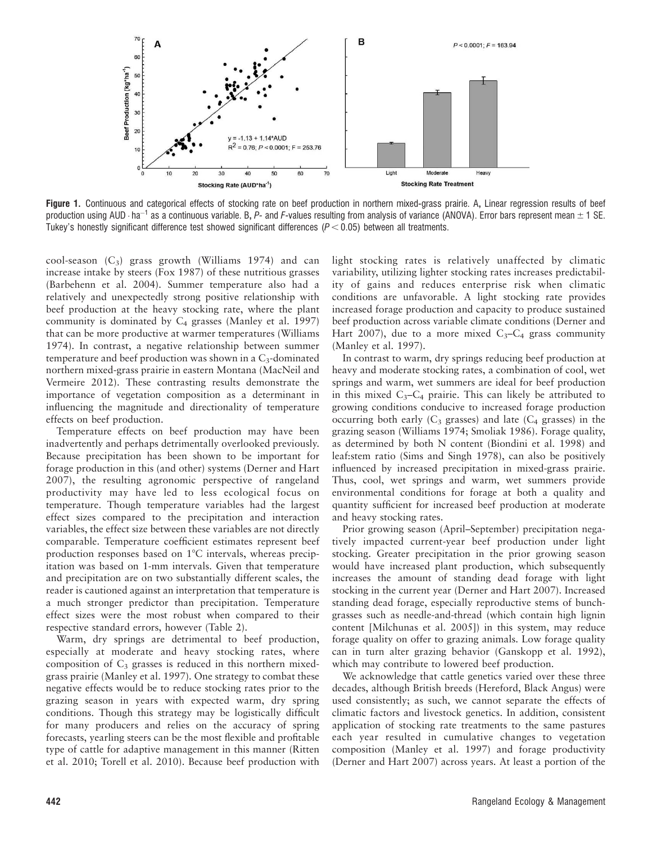

Figure 1. Continuous and categorical effects of stocking rate on beef production in northern mixed-grass prairie. A, Linear regression results of beef production using AUD  $\cdot$  ha<sup>-1</sup> as a continuous variable. B, P- and F-values resulting from analysis of variance (ANOVA). Error bars represent mean  $\pm$  1 SE. Tukey's honestly significant difference test showed significant differences ( $P < 0.05$ ) between all treatments.

cool-season  $(C_3)$  grass growth (Williams 1974) and can increase intake by steers (Fox 1987) of these nutritious grasses (Barbehenn et al. 2004). Summer temperature also had a relatively and unexpectedly strong positive relationship with beef production at the heavy stocking rate, where the plant community is dominated by  $C_4$  grasses (Manley et al. 1997) that can be more productive at warmer temperatures (Williams 1974). In contrast, a negative relationship between summer temperature and beef production was shown in a  $C_3$ -dominated northern mixed-grass prairie in eastern Montana (MacNeil and Vermeire 2012). These contrasting results demonstrate the importance of vegetation composition as a determinant in influencing the magnitude and directionality of temperature effects on beef production.

Temperature effects on beef production may have been inadvertently and perhaps detrimentally overlooked previously. Because precipitation has been shown to be important for forage production in this (and other) systems (Derner and Hart 2007), the resulting agronomic perspective of rangeland productivity may have led to less ecological focus on temperature. Though temperature variables had the largest effect sizes compared to the precipitation and interaction variables, the effect size between these variables are not directly comparable. Temperature coefficient estimates represent beef production responses based on  $1^{\circ}$ C intervals, whereas precipitation was based on 1-mm intervals. Given that temperature and precipitation are on two substantially different scales, the reader is cautioned against an interpretation that temperature is a much stronger predictor than precipitation. Temperature effect sizes were the most robust when compared to their respective standard errors, however (Table 2).

Warm, dry springs are detrimental to beef production, especially at moderate and heavy stocking rates, where composition of  $C_3$  grasses is reduced in this northern mixedgrass prairie (Manley et al. 1997). One strategy to combat these negative effects would be to reduce stocking rates prior to the grazing season in years with expected warm, dry spring conditions. Though this strategy may be logistically difficult for many producers and relies on the accuracy of spring forecasts, yearling steers can be the most flexible and profitable type of cattle for adaptive management in this manner (Ritten et al. 2010; Torell et al. 2010). Because beef production with

light stocking rates is relatively unaffected by climatic variability, utilizing lighter stocking rates increases predictability of gains and reduces enterprise risk when climatic conditions are unfavorable. A light stocking rate provides increased forage production and capacity to produce sustained beef production across variable climate conditions (Derner and Hart 2007), due to a more mixed  $C_3-C_4$  grass community (Manley et al. 1997).

In contrast to warm, dry springs reducing beef production at heavy and moderate stocking rates, a combination of cool, wet springs and warm, wet summers are ideal for beef production in this mixed  $C_3-C_4$  prairie. This can likely be attributed to growing conditions conducive to increased forage production occurring both early  $(C_3$  grasses) and late  $(C_4$  grasses) in the grazing season (Williams 1974; Smoliak 1986). Forage quality, as determined by both N content (Biondini et al. 1998) and leaf:stem ratio (Sims and Singh 1978), can also be positively influenced by increased precipitation in mixed-grass prairie. Thus, cool, wet springs and warm, wet summers provide environmental conditions for forage at both a quality and quantity sufficient for increased beef production at moderate and heavy stocking rates.

Prior growing season (April–September) precipitation negatively impacted current-year beef production under light stocking. Greater precipitation in the prior growing season would have increased plant production, which subsequently increases the amount of standing dead forage with light stocking in the current year (Derner and Hart 2007). Increased standing dead forage, especially reproductive stems of bunchgrasses such as needle-and-thread (which contain high lignin content [Milchunas et al. 2005]) in this system, may reduce forage quality on offer to grazing animals. Low forage quality can in turn alter grazing behavior (Ganskopp et al. 1992), which may contribute to lowered beef production.

We acknowledge that cattle genetics varied over these three decades, although British breeds (Hereford, Black Angus) were used consistently; as such, we cannot separate the effects of climatic factors and livestock genetics. In addition, consistent application of stocking rate treatments to the same pastures each year resulted in cumulative changes to vegetation composition (Manley et al. 1997) and forage productivity (Derner and Hart 2007) across years. At least a portion of the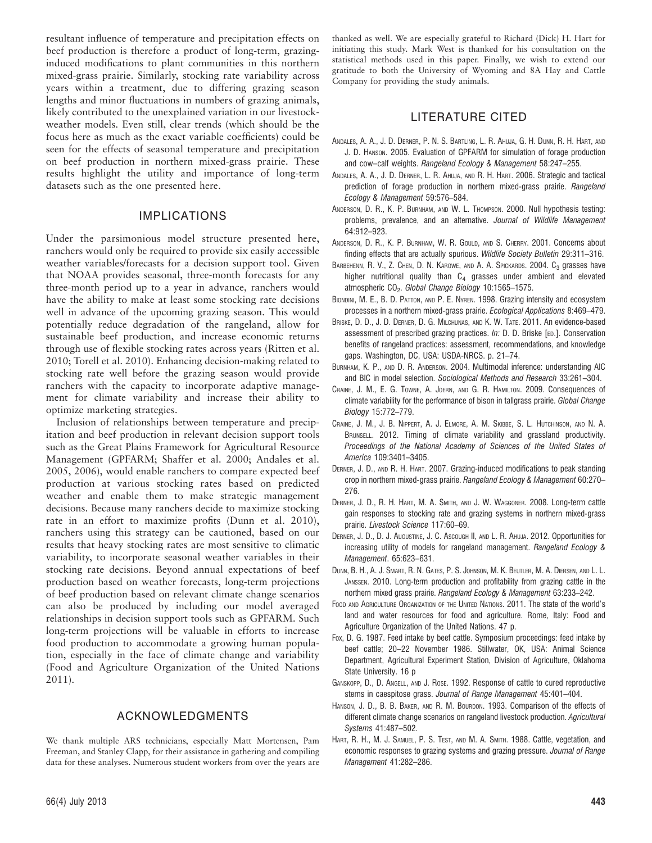resultant influence of temperature and precipitation effects on beef production is therefore a product of long-term, grazinginduced modifications to plant communities in this northern mixed-grass prairie. Similarly, stocking rate variability across years within a treatment, due to differing grazing season lengths and minor fluctuations in numbers of grazing animals, likely contributed to the unexplained variation in our livestockweather models. Even still, clear trends (which should be the focus here as much as the exact variable coefficients) could be seen for the effects of seasonal temperature and precipitation on beef production in northern mixed-grass prairie. These results highlight the utility and importance of long-term datasets such as the one presented here.

## IMPLICATIONS

Under the parsimonious model structure presented here, ranchers would only be required to provide six easily accessible weather variables/forecasts for a decision support tool. Given that NOAA provides seasonal, three-month forecasts for any three-month period up to a year in advance, ranchers would have the ability to make at least some stocking rate decisions well in advance of the upcoming grazing season. This would potentially reduce degradation of the rangeland, allow for sustainable beef production, and increase economic returns through use of flexible stocking rates across years (Ritten et al. 2010; Torell et al. 2010). Enhancing decision-making related to stocking rate well before the grazing season would provide ranchers with the capacity to incorporate adaptive management for climate variability and increase their ability to optimize marketing strategies.

Inclusion of relationships between temperature and precipitation and beef production in relevant decision support tools such as the Great Plains Framework for Agricultural Resource Management (GPFARM; Shaffer et al. 2000; Andales et al. 2005, 2006), would enable ranchers to compare expected beef production at various stocking rates based on predicted weather and enable them to make strategic management decisions. Because many ranchers decide to maximize stocking rate in an effort to maximize profits (Dunn et al. 2010), ranchers using this strategy can be cautioned, based on our results that heavy stocking rates are most sensitive to climatic variability, to incorporate seasonal weather variables in their stocking rate decisions. Beyond annual expectations of beef production based on weather forecasts, long-term projections of beef production based on relevant climate change scenarios can also be produced by including our model averaged relationships in decision support tools such as GPFARM. Such long-term projections will be valuable in efforts to increase food production to accommodate a growing human population, especially in the face of climate change and variability (Food and Agriculture Organization of the United Nations 2011).

## ACKNOWLEDGMENTS

We thank multiple ARS technicians, especially Matt Mortensen, Pam Freeman, and Stanley Clapp, for their assistance in gathering and compiling data for these analyses. Numerous student workers from over the years are thanked as well. We are especially grateful to Richard (Dick) H. Hart for initiating this study. Mark West is thanked for his consultation on the statistical methods used in this paper. Finally, we wish to extend our gratitude to both the University of Wyoming and 8A Hay and Cattle Company for providing the study animals.

## LITERATURE CITED

- ANDALES, A. A., J. D. DERNER, P. N. S. BARTLING, L. R. AHUJA, G. H. DUNN, R. H. HART, AND J. D. HANSON. 2005. Evaluation of GPFARM for simulation of forage production and cow–calf weights. Rangeland Ecology & Management 58:247–255.
- ANDALES, A. A., J. D. DERNER, L. R. AHUJA, AND R. H. HART. 2006. Strategic and tactical prediction of forage production in northern mixed-grass prairie. Rangeland Ecology & Management 59:576–584.
- ANDERSON, D. R., K. P. BURNHAM, AND W. L. THOMPSON. 2000. Null hypothesis testing: problems, prevalence, and an alternative. Journal of Wildlife Management 64:912–923.
- ANDERSON, D. R., K. P. BURNHAM, W. R. GOULD, AND S. CHERRY. 2001. Concerns about finding effects that are actually spurious. Wildlife Society Bulletin 29:311–316.
- BARBEHENN, R. V., Z. CHEN, D. N. KAROWE, AND A. A. SPICKARDS. 2004. C<sub>3</sub> grasses have higher nutritional quality than  $C_4$  grasses under ambient and elevated atmospheric  $CO<sub>2</sub>$ . Global Change Biology 10:1565-1575.
- BIONDINI, M. E., B. D. PATTON, AND P. E. NYREN. 1998. Grazing intensity and ecosystem processes in a northern mixed-grass prairie. Ecological Applications 8:469–479.
- BRISKE, D. D., J. D. DERNER, D. G. MILCHUNAS, AND K. W. TATE. 2011. An evidence-based assessment of prescribed grazing practices. In: D. D. Briske [ED.]. Conservation benefits of rangeland practices: assessment, recommendations, and knowledge gaps. Washington, DC, USA: USDA-NRCS. p. 21–74.
- BURNHAM, K. P., AND D. R. ANDERSON. 2004. Multimodal inference: understanding AIC and BIC in model selection. Sociological Methods and Research 33:261–304.
- CRAINE, J. M., E. G. TOWNE, A. JOERN, AND G. R. HAMILTON. 2009. Consequences of climate variability for the performance of bison in tallgrass prairie. Global Change Biology 15:772–779.
- CRAINE, J. M., J. B. NIPPERT, A. J. ELMORE, A. M. SKIBBE, S. L. HUTCHINSON, AND N. A. BRUNSELL. 2012. Timing of climate variability and grassland productivity. Proceedings of the National Academy of Sciences of the United States of America 109:3401–3405.
- DERNER, J. D., AND R. H. HART. 2007. Grazing-induced modifications to peak standing crop in northern mixed-grass prairie. Rangeland Ecology & Management 60:270– 276.
- DERNER, J. D., R. H. HART, M. A. SMITH, AND J. W. WAGGONER. 2008. Long-term cattle gain responses to stocking rate and grazing systems in northern mixed-grass prairie. Livestock Science 117:60–69.
- DERNER, J. D., D. J. AUGUSTINE, J. C. ASCOUGH II, AND L. R. AHUJA. 2012. Opportunities for increasing utility of models for rangeland management. Rangeland Ecology & Management. 65:623–631.
- DUNN, B. H., A. J. SMART, R. N. GATES, P. S. JOHNSON, M. K. BEUTLER, M. A. DIERSEN, AND L. L. JANSSEN. 2010. Long-term production and profitability from grazing cattle in the northern mixed grass prairie. Rangeland Ecology & Management 63:233–242.
- FOOD AND AGRICULTURE ORGANIZATION OF THE UNITED NATIONS. 2011. The state of the world's land and water resources for food and agriculture. Rome, Italy: Food and Agriculture Organization of the United Nations. 47 p.
- FOX, D. G. 1987. Feed intake by beef cattle. Symposium proceedings: feed intake by beef cattle; 20–22 November 1986. Stillwater, OK, USA: Animal Science Department, Agricultural Experiment Station, Division of Agriculture, Oklahoma State University. 16 p
- GANSKOPP, D., D. ANGELL, AND J. ROSE. 1992. Response of cattle to cured reproductive stems in caespitose grass. Journal of Range Management 45:401–404.
- HANSON, J. D., B. B. BAKER, AND R. M. BOURDON. 1993. Comparison of the effects of different climate change scenarios on rangeland livestock production. Agricultural Systems 41:487–502.
- HART, R. H., M. J. SAMUEL, P. S. TEST, AND M. A. SMITH. 1988. Cattle, vegetation, and economic responses to grazing systems and grazing pressure. Journal of Range Management 41:282–286.